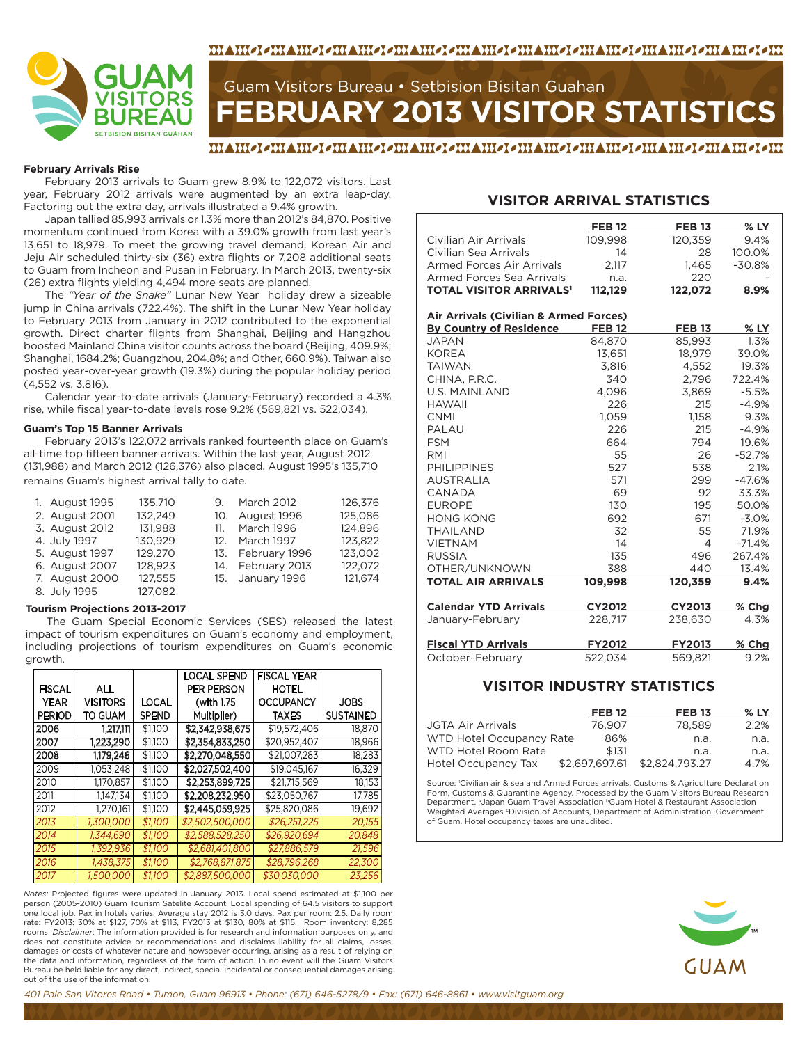



# **FEBRUARY 2013 VISITOR STATISTICS** Guam Visitors Bureau • Setbision Bisitan Guahan

#### **February Arrivals Rise**

February 2013 arrivals to Guam grew 8.9% to 122,072 visitors. Last year, February 2012 arrivals were augmented by an extra leap-day. Factoring out the extra day, arrivals illustrated a 9.4% growth.

Japan tallied 85,993 arrivals or 1.3% more than 2012's 84,870. Positive momentum continued from Korea with a 39.0% growth from last year's 13,651 to 18,979. To meet the growing travel demand, Korean Air and Jeju Air scheduled thirty-six (36) extra flights or 7,208 additional seats to Guam from Incheon and Pusan in February. In March 2013, twenty-six (26) extra flights yielding 4,494 more seats are planned.

The *"Year of the Snake"* Lunar New Year holiday drew a sizeable jump in China arrivals (722.4%). The shift in the Lunar New Year holiday to February 2013 from January in 2012 contributed to the exponential growth. Direct charter flights from Shanghai, Beijing and Hangzhou boosted Mainland China visitor counts across the board (Beijing, 409.9%; Shanghai, 1684.2%; Guangzhou, 204.8%; and Other, 660.9%). Taiwan also posted year-over-year growth (19.3%) during the popular holiday period (4,552 vs. 3,816).

Calendar year-to-date arrivals (January-February) recorded a 4.3% rise, while fiscal year-to-date levels rose 9.2% (569,821 vs. 522,034).

#### **Guam's Top 15 Banner Arrivals**

February 2013's 122,072 arrivals ranked fourteenth place on Guam's all-time top fifteen banner arrivals. Within the last year, August 2012 (131,988) and March 2012 (126,376) also placed. August 1995's 135,710 remains Guam's highest arrival tally to date.

| 1. August 1995 | 135.710 | 9.      | <b>March 2012</b> | 126,376 |
|----------------|---------|---------|-------------------|---------|
|                |         |         |                   |         |
| 2. August 2001 | 132,249 |         | 10. August 1996   | 125,086 |
| 3. August 2012 | 131.988 | 11.     | <b>March 1996</b> | 124.896 |
| 4. July 1997   | 130.929 | $12-12$ | March 1997        | 123,822 |
| 5. August 1997 | 129.270 |         | 13. February 1996 | 123.002 |
| 6. August 2007 | 128.923 |         | 14. February 2013 | 122.072 |
| 7. August 2000 | 127,555 |         | 15. January 1996  | 121,674 |
| 8. July 1995   | 127.082 |         |                   |         |

#### **Tourism Projections 2013-2017**

The Guam Special Economic Services (SES) released the latest impact of tourism expenditures on Guam's economy and employment, including projections of tourism expenditures on Guam's economic growth.

|               |                 |              | <b>LOCAL SPEND</b> | <b>FISCAL YEAR</b> |                  |
|---------------|-----------------|--------------|--------------------|--------------------|------------------|
| <b>FISCAL</b> | <b>ALL</b>      |              | PER PERSON         | HOTEL              |                  |
| <b>YEAR</b>   | <b>VISITORS</b> | LOCAL        | (with 1.75         | <b>OCCUPANCY</b>   | <b>JOBS</b>      |
| <b>PERIOD</b> | TO GUAM         | <b>SPEND</b> | Multiplier)        | TAXES              | <b>SUSTAINED</b> |
| 2006          | 1.217.111       | \$1.100      | \$2,342,938,675    | \$19.572.406       | 18.870           |
| 2007          | 1,223,290       | \$1.100      | \$2,354,833,250    | \$20.952.407       | 18,966           |
| 2008          | 1,179,246       | \$1,100      | \$2,270,048,550    | \$21,007,283       | 18,283           |
| 2009          | 1.053.248       | \$1.100      | \$2,027,502,400    | \$19.045.167       | 16,329           |
| 2010          | 1.170.857       | \$1.100      | \$2,253,899,725    | \$21,715,569       | 18,153           |
| 2011          | 1.147.134       | \$1,100      | \$2,208,232,950    | \$23.050.767       | 17,785           |
| 2012          | 1.270.161       | \$1.100      | \$2,445,059,925    | \$25,820,086       | 19.692           |
| 2013          | 1.300.000       | \$1.100      | \$2,502,500,000    | \$26,251,225       | 20,155           |
| 2014          | 1.344.690       | \$1,100      | \$2,588,528,250    | \$26,920,694       | 20,848           |
| 2015          | 1.392.936       | \$1.100      | \$2,681,401,800    | \$27,886,579       | 21,596           |
| 2016          | 1,438,375       | \$1,100      | \$2,768,871,875    | \$28,796,268       | 22,300           |
| 2017          | 1,500,000       | \$1,100      | \$2,887,500,000    | \$30.030.000       | 23,256           |

*Notes:* Projected figures were updated in January 2013. Local spend estimated at \$1,100 per person (2005-2010) Guam Tourism Satelite Account. Local spending of 64.5 visitors to support one local job. Pax in hotels varies. Average stay 2012 is 3.0 days. Pax per room: 2.5. Daily room rate: FY2013: 30% at \$127, 70% at \$113, FY2013 at \$130, 80% at \$115. Room inventory: 8,285 rooms. *Disclaimer*: The information provided is for research and information purposes only, and does not constitute advice or recommendations and disclaims liability for all claims, losses, damages or costs of whatever nature and howsoever occurring, arising as a result of relying on the data and information, regardless of the form of action. In no event will the Guam Visitors Bureau be held liable for any direct, indirect, special incidental or consequential damages arising out of the use of the information.

#### **VISITOR ARRIVAL STATISTICS**

|                                           | <b>FEB 12</b> | <b>FEB 13</b> | % LY     |
|-------------------------------------------|---------------|---------------|----------|
| Civilian Air Arrivals                     | 109,998       | 120,359       | 9.4%     |
| Civilian Sea Arrivals                     | 14            | 28            | 100.0%   |
| Armed Forces Air Arrivals                 | 2,117         | 1,465         | $-30.8%$ |
| Armed Forces Sea Arrivals                 | n.a.          | 220           |          |
| <b>TOTAL VISITOR ARRIVALS<sup>1</sup></b> | 112,129       | 122,072       | 8.9%     |
|                                           |               |               |          |
| Air Arrivals (Civilian & Armed Forces)    |               |               |          |
| <b>By Country of Residence</b>            | <b>FEB 12</b> | <b>FEB 13</b> | % LY     |
| <b>JAPAN</b>                              | 84,870        | 85,993        | 1.3%     |
| <b>KOREA</b>                              | 13,651        | 18,979        | 39.0%    |
| <b>TAIWAN</b>                             | 3.816         | 4.552         | 19.3%    |
| CHINA, P.R.C.                             | 340           | 2.796         | 722.4%   |
| <b>U.S. MAINLAND</b>                      | 4,096         | 3,869         | $-5.5%$  |
| HAWAII                                    | 226           | 215           | $-4.9%$  |
| <b>CNMI</b>                               | 1,059         | 1,158         | 9.3%     |
| PALAU                                     | 226           | 215           | $-4.9%$  |
| <b>FSM</b>                                | 664           | 794           | 19.6%    |
| RMI                                       | 55            | 26            | $-52.7%$ |
| <b>PHILIPPINES</b>                        | 527           | 538           | 2.1%     |
| <b>AUSTRALIA</b>                          | 571           | 299           | $-47.6%$ |
| CANADA                                    | 69            | 92            | 33.3%    |
| <b>EUROPE</b>                             | 130           | 195           | 50.0%    |
| <b>HONG KONG</b>                          | 692           | 671           | $-3.0%$  |
| <b>THAILAND</b>                           | 32            | 55            | 71.9%    |
| <b>VIETNAM</b>                            | 14            | 4             | $-71.4%$ |
| <b>RUSSIA</b>                             | 135           | 496           | 267.4%   |
| OTHER/UNKNOWN                             | 388           | 440           | 13.4%    |
| <b>TOTAL AIR ARRIVALS</b>                 | 109,998       | 120,359       | 9.4%     |
| <b>Calendar YTD Arrivals</b>              | <b>CY2012</b> | <b>CY2013</b> | % Chg    |
| January-February                          | 228,717       | 238,630       | 4.3%     |
| <b>Fiscal YTD Arrivals</b>                | <b>FY2012</b> | <b>FY2013</b> | % Chg    |
| October-February                          | 522,034       | 569,821       | 9.2%     |
|                                           |               |               |          |

### **VISITOR INDUSTRY STATISTICS**

|                          | <b>FEB 12</b>  | <b>FEB 13</b>  | $%$ LY |
|--------------------------|----------------|----------------|--------|
| JGTA Air Arrivals        | 76.907         | 78.589         | 2.2%   |
| WTD Hotel Occupancy Rate | 86%            | n.a.           | n.a.   |
| WTD Hotel Room Rate      | \$131          | n.a.           | n.a.   |
| Hotel Occupancy Tax      | \$2.697.697.61 | \$2.824.793.27 | 4.7%   |

Source: 1 Civilian air & sea and Armed Forces arrivals. Customs & Agriculture Declaration Form, Customs & Quarantine Agency. Processed by the Guam Visitors Bureau Research Department. aJapan Guam Travel Association bGuam Hotel & Restaurant Association Weighted Averages *Civision of Accounts, Department of Administration, Government* of Guam. Hotel occupancy taxes are unaudited.

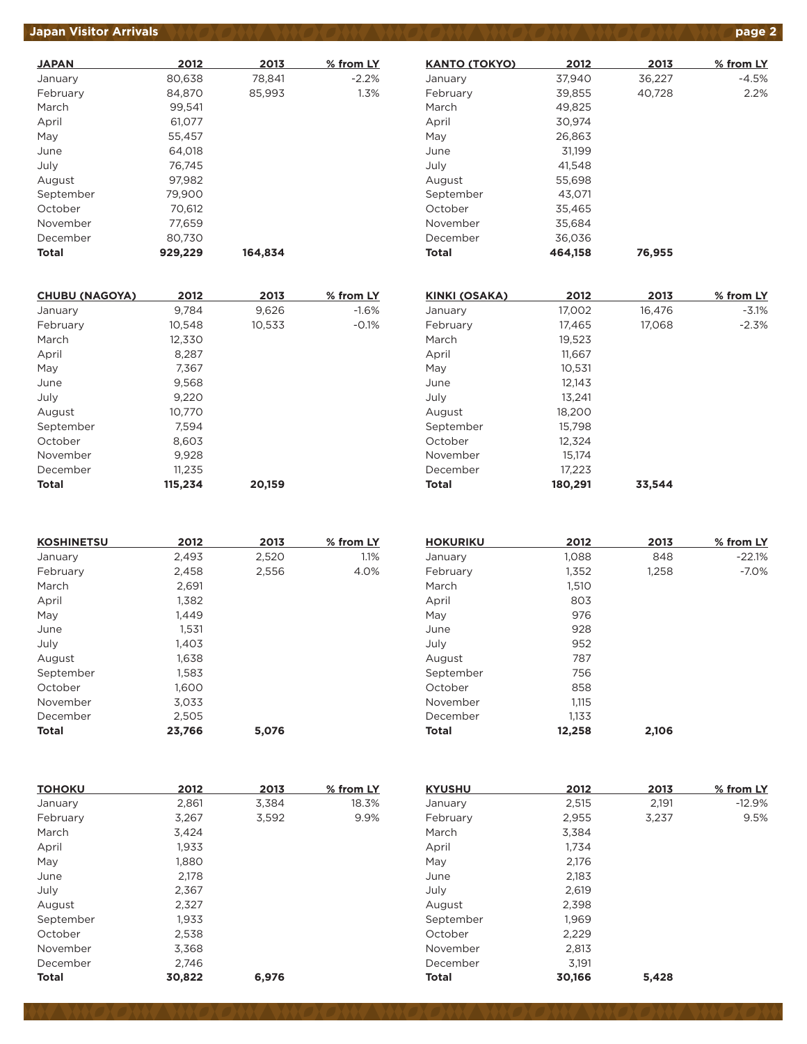# *Japan Visitor Arrivals*  $\bigvee$  *(O)O)*  $\bigvee$  $\bigvee$  $\bigcirc$  *(O)*  $\bigvee$  $\bigvee$  $\bigcirc$  $\bigcirc$  $\bigvee$  $\bigvee$  $\bigcirc$  $\bigcirc$  $\bigvee$  $\bigvee$  $\bigvee$  $\bigvee$  $\bigvee$  $\bigvee$  $\bigvee$  $\bigvee$  $\bigvee$  $\bigvee$  $\bigvee$  $\bigvee$  $\bigvee$  $\bigvee$  $\bigvee$  *\big*

| <b>JAPAN</b> | 2012    | 2013    | % from LY |
|--------------|---------|---------|-----------|
| January      | 80,638  | 78,841  | $-2.2%$   |
| February     | 84.870  | 85,993  | 1.3%      |
| March        | 99.541  |         |           |
| April        | 61,077  |         |           |
| May          | 55.457  |         |           |
| June         | 64.018  |         |           |
| July         | 76.745  |         |           |
| August       | 97.982  |         |           |
| September    | 79,900  |         |           |
| October      | 70,612  |         |           |
| November     | 77,659  |         |           |
| December     | 80,730  |         |           |
| Total        | 929,229 | 164.834 |           |

| <b>CHUBU (NAGOYA)</b> | 2012    | 2013   | % from LY |
|-----------------------|---------|--------|-----------|
| January               | 9,784   | 9,626  | $-1.6%$   |
| February              | 10.548  | 10,533 | $-0.1%$   |
| March                 | 12,330  |        |           |
| April                 | 8,287   |        |           |
| May                   | 7,367   |        |           |
| June                  | 9,568   |        |           |
| July                  | 9.220   |        |           |
| August                | 10.770  |        |           |
| September             | 7,594   |        |           |
| October               | 8,603   |        |           |
| November              | 9,928   |        |           |
| December              | 11,235  |        |           |
| Total                 | 115,234 | 20,159 |           |

| <b>KOSHINETSU</b> | 2012   | 2013  | % from LY |
|-------------------|--------|-------|-----------|
| January           | 2,493  | 2,520 | 1.1%      |
| February          | 2,458  | 2,556 | 4.0%      |
| March             | 2,691  |       |           |
| April             | 1,382  |       |           |
| May               | 1.449  |       |           |
| June              | 1,531  |       |           |
| July              | 1,403  |       |           |
| August            | 1,638  |       |           |
| September         | 1,583  |       |           |
| October           | 1,600  |       |           |
| November          | 3.033  |       |           |
| December          | 2,505  |       |           |
| Total             | 23,766 | 5,076 |           |

| <b>HOKURIKU</b> | 2012   | 2013  | % from LY |
|-----------------|--------|-------|-----------|
| January         | 1,088  | 848   | $-22.1%$  |
| February        | 1,352  | 1,258 | $-7.0%$   |
| March           | 1,510  |       |           |
| April           | 803    |       |           |
| May             | 976    |       |           |
| June            | 928    |       |           |
| July            | 952    |       |           |
| August          | 787    |       |           |
| September       | 756    |       |           |
| October         | 858    |       |           |
| November        | 1.115  |       |           |
| December        | 1,133  |       |           |
| <b>Total</b>    | 12,258 | 2,106 |           |
|                 |        |       |           |

| 2012   | 2013  | % from LY | <b>KYUSHU</b> | 2012   | 2013  | % from LY |
|--------|-------|-----------|---------------|--------|-------|-----------|
| 2,861  | 3,384 | 18.3%     | January       | 2,515  | 2,191 | $-12.9%$  |
| 3,267  | 3,592 | 9.9%      | February      | 2,955  | 3,237 | 9.5%      |
| 3,424  |       |           | March         | 3,384  |       |           |
| 1,933  |       |           | April         | 1,734  |       |           |
| 1,880  |       |           | May           | 2,176  |       |           |
| 2,178  |       |           | June          | 2,183  |       |           |
| 2,367  |       |           | July          | 2,619  |       |           |
| 2,327  |       |           | August        | 2,398  |       |           |
| 1,933  |       |           | September     | 1,969  |       |           |
| 2,538  |       |           | October       | 2,229  |       |           |
| 3,368  |       |           | November      | 2,813  |       |           |
| 2,746  |       |           | December      | 3,191  |       |           |
| 30,822 | 6,976 |           | <b>Total</b>  | 30,166 | 5,428 |           |
|        |       |           |               |        |       |           |

| <b>KANTO (TOKYO)</b> | 2012    | 2013   | % from LY |
|----------------------|---------|--------|-----------|
| January              | 37,940  | 36,227 | -4.5%     |
| February             | 39,855  | 40,728 | 2.2%      |
| March                | 49,825  |        |           |
| April                | 30.974  |        |           |
| May                  | 26.863  |        |           |
| June                 | 31.199  |        |           |
| July                 | 41.548  |        |           |
| August               | 55,698  |        |           |
| September            | 43,071  |        |           |
| October              | 35,465  |        |           |
| November             | 35.684  |        |           |
| December             | 36,036  |        |           |
| Total                | 464,158 | 76,955 |           |
|                      |         |        |           |

| KINKI (OSAKA) | 2012    | 2013   | % from LY |
|---------------|---------|--------|-----------|
| January       | 17,002  | 16,476 | $-3.1%$   |
| February      | 17,465  | 17,068 | $-2.3%$   |
| March         | 19,523  |        |           |
| April         | 11,667  |        |           |
| May           | 10,531  |        |           |
| June          | 12,143  |        |           |
| July          | 13.241  |        |           |
| August        | 18,200  |        |           |
| September     | 15,798  |        |           |
| October       | 12,324  |        |           |
| November      | 15.174  |        |           |
| December      | 17,223  |        |           |
| <b>Total</b>  | 180,291 | 33.544 |           |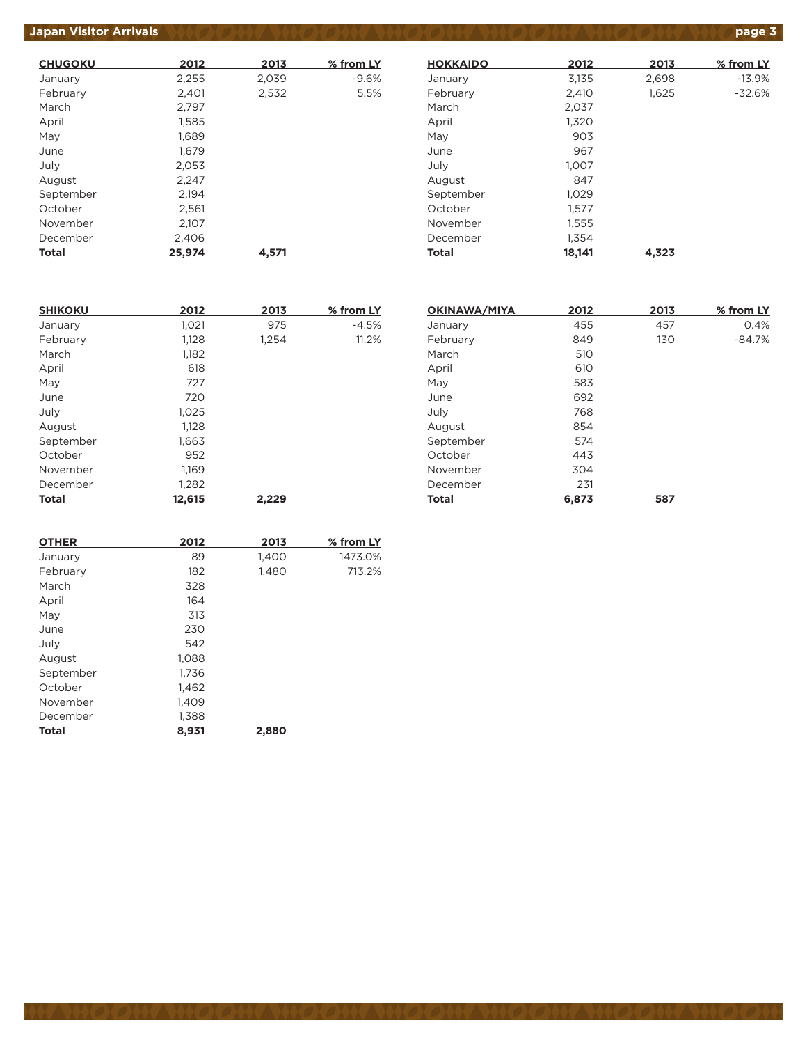# **Japan Visitor Arrivals page 3**

| <b>CHUGOKU</b> | 2012   | 2013  | % from LY |
|----------------|--------|-------|-----------|
| January        | 2,255  | 2,039 | $-9.6%$   |
| February       | 2,401  | 2,532 | 5.5%      |
| March          | 2,797  |       |           |
| April          | 1,585  |       |           |
| May            | 1.689  |       |           |
| June           | 1.679  |       |           |
| July           | 2,053  |       |           |
| August         | 2,247  |       |           |
| September      | 2,194  |       |           |
| October        | 2,561  |       |           |
| November       | 2,107  |       |           |
| December       | 2,406  |       |           |
| Total          | 25,974 | 4,571 |           |

| <b>HOKKAIDO</b> | 2012   | 2013  | % from LY |
|-----------------|--------|-------|-----------|
| January         | 3,135  | 2,698 | $-13.9%$  |
| February        | 2,410  | 1,625 | $-32.6%$  |
| March           | 2,037  |       |           |
| April           | 1,320  |       |           |
| May             | 903    |       |           |
| June            | 967    |       |           |
| July            | 1,007  |       |           |
| August          | 847    |       |           |
| September       | 1,029  |       |           |
| October         | 1,577  |       |           |
| November        | 1,555  |       |           |
| December        | 1.354  |       |           |
| Total           | 18,141 | 4,323 |           |

| <b>SHIKOKU</b> | 2012   | 2013  | % from LY |
|----------------|--------|-------|-----------|
| January        | 1,021  | 975   | $-4.5%$   |
| February       | 1,128  | 1,254 | 11.2%     |
| March          | 1,182  |       |           |
| April          | 618    |       |           |
| May            | 727    |       |           |
| June           | 720    |       |           |
| July           | 1,025  |       |           |
| August         | 1,128  |       |           |
| September      | 1,663  |       |           |
| October        | 952    |       |           |
| November       | 1,169  |       |           |
| December       | 1,282  |       |           |
| <b>Total</b>   | 12,615 | 2,229 |           |

| 2012  | 2013 | % from LY |
|-------|------|-----------|
| 455   | 457  | 0.4%      |
| 849   | 130  | $-84.7%$  |
| 510   |      |           |
| 610   |      |           |
| 583   |      |           |
| 692   |      |           |
| 768   |      |           |
| 854   |      |           |
| 574   |      |           |
| 443   |      |           |
| 304   |      |           |
| 231   |      |           |
| 6,873 | 587  |           |
|       |      |           |

| <b>OTHER</b> | 2012  | 2013  | % from LY |
|--------------|-------|-------|-----------|
| January      | 89    | 1,400 | 1473.0%   |
| February     | 182   | 1,480 | 713.2%    |
| March        | 328   |       |           |
| April        | 164   |       |           |
| May          | 313   |       |           |
| June         | 230   |       |           |
| July         | 542   |       |           |
| August       | 1,088 |       |           |
| September    | 1,736 |       |           |
| October      | 1,462 |       |           |
| November     | 1.409 |       |           |
| December     | 1,388 |       |           |
| Total        | 8,931 | 2,880 |           |
|              |       |       |           |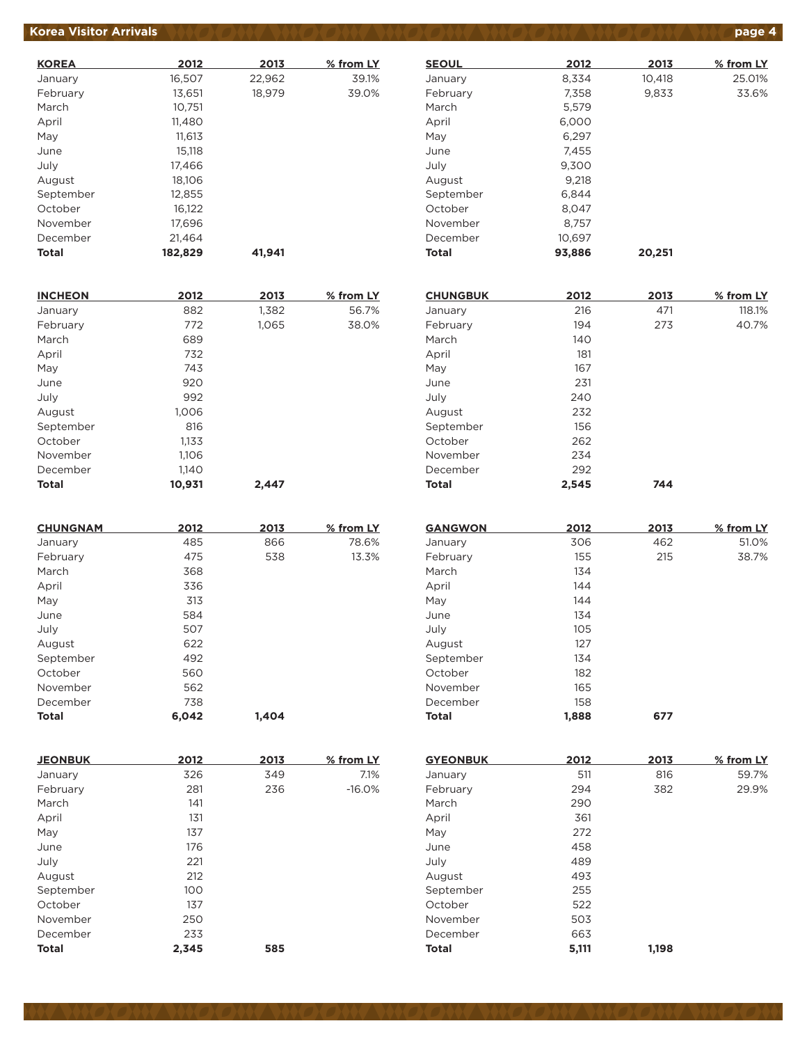### **Korea Visitor Arrivals page 4**

| <b>KOREA</b> | 2012    | 2013   | % from LY |
|--------------|---------|--------|-----------|
| January      | 16,507  | 22,962 | 39.1%     |
| February     | 13,651  | 18,979 | 39.0%     |
| March        | 10,751  |        |           |
| April        | 11,480  |        |           |
| May          | 11.613  |        |           |
| June         | 15,118  |        |           |
| July         | 17,466  |        |           |
| August       | 18,106  |        |           |
| September    | 12,855  |        |           |
| October      | 16,122  |        |           |
| November     | 17,696  |        |           |
| December     | 21,464  |        |           |
| <b>Total</b> | 182,829 | 41.941 |           |

| <b>INCHEON</b> | 2012   | 2013  | % from LY |
|----------------|--------|-------|-----------|
| January        | 882    | 1,382 | 56.7%     |
| February       | 772    | 1,065 | 38.0%     |
| March          | 689    |       |           |
| April          | 732    |       |           |
| May            | 743    |       |           |
| June           | 920    |       |           |
| July           | 992    |       |           |
| August         | 1,006  |       |           |
| September      | 816    |       |           |
| October        | 1,133  |       |           |
| November       | 1,106  |       |           |
| December       | 1,140  |       |           |
| <b>Total</b>   | 10,931 | 2,447 |           |

| <b>CHUNGNAM</b> | 2012  | 2013  | % from LY |
|-----------------|-------|-------|-----------|
| January         | 485   | 866   | 78.6%     |
| February        | 475   | 538   | 13.3%     |
| March           | 368   |       |           |
| April           | 336   |       |           |
| May             | 313   |       |           |
| June            | 584   |       |           |
| July            | 507   |       |           |
| August          | 622   |       |           |
| September       | 492   |       |           |
| October         | 560   |       |           |
| November        | 562   |       |           |
| December        | 738   |       |           |
| <b>Total</b>    | 6.042 | 1.404 |           |

| <b>JEONBUK</b> | 2012  | 2013 | % from LY |
|----------------|-------|------|-----------|
| January        | 326   | 349  | 7.1%      |
| February       | 281   | 236  | $-16.0%$  |
| March          | 141   |      |           |
| April          | 131   |      |           |
| May            | 137   |      |           |
| June           | 176   |      |           |
| July           | 221   |      |           |
| August         | 212   |      |           |
| September      | 100   |      |           |
| October        | 137   |      |           |
| November       | 250   |      |           |
| December       | 233   |      |           |
| <b>Total</b>   | 2,345 | 585  |           |

| <b>SEOUL</b> | 2012   | 2013   | % from LY |
|--------------|--------|--------|-----------|
| January      | 8,334  | 10,418 | 25.01%    |
| February     | 7,358  | 9,833  | 33.6%     |
| March        | 5,579  |        |           |
| April        | 6,000  |        |           |
| May          | 6,297  |        |           |
| June         | 7,455  |        |           |
| July         | 9,300  |        |           |
| August       | 9.218  |        |           |
| September    | 6.844  |        |           |
| October      | 8,047  |        |           |
| November     | 8.757  |        |           |
| December     | 10.697 |        |           |
| Total        | 93,886 | 20,251 |           |

| <b>CHUNGBUK</b> | 2012  | 2013 | % from LY |
|-----------------|-------|------|-----------|
| January         | 216   | 471  | 118.1%    |
| February        | 194   | 273  | 40.7%     |
| March           | 140   |      |           |
| April           | 181   |      |           |
| May             | 167   |      |           |
| June            | 231   |      |           |
| July            | 240   |      |           |
| August          | 232   |      |           |
| September       | 156   |      |           |
| October         | 262   |      |           |
| November        | 234   |      |           |
| December        | 292   |      |           |
| <b>Total</b>    | 2,545 | 744  |           |

| <b>GANGWON</b> | 2012  | 2013 | % from LY |
|----------------|-------|------|-----------|
| January        | 306   | 462  | 51.0%     |
| February       | 155   | 215  | 38.7%     |
| March          | 134   |      |           |
| April          | 144   |      |           |
| May            | 144   |      |           |
| June           | 134   |      |           |
| July           | 105   |      |           |
| August         | 127   |      |           |
| September      | 134   |      |           |
| October        | 182   |      |           |
| November       | 165   |      |           |
| December       | 158   |      |           |
| <b>Total</b>   | 1.888 | 677  |           |

| <b>GYEONBUK</b> | 2012  | 2013  | % from LY |
|-----------------|-------|-------|-----------|
| January         | 511   | 816   | 59.7%     |
| February        | 294   | 382   | 29.9%     |
| March           | 290   |       |           |
| April           | 361   |       |           |
| May             | 272   |       |           |
| June            | 458   |       |           |
| July            | 489   |       |           |
| August          | 493   |       |           |
| September       | 255   |       |           |
| October         | 522   |       |           |
| November        | 503   |       |           |
| December        | 663   |       |           |
| <b>Total</b>    | 5,111 | 1.198 |           |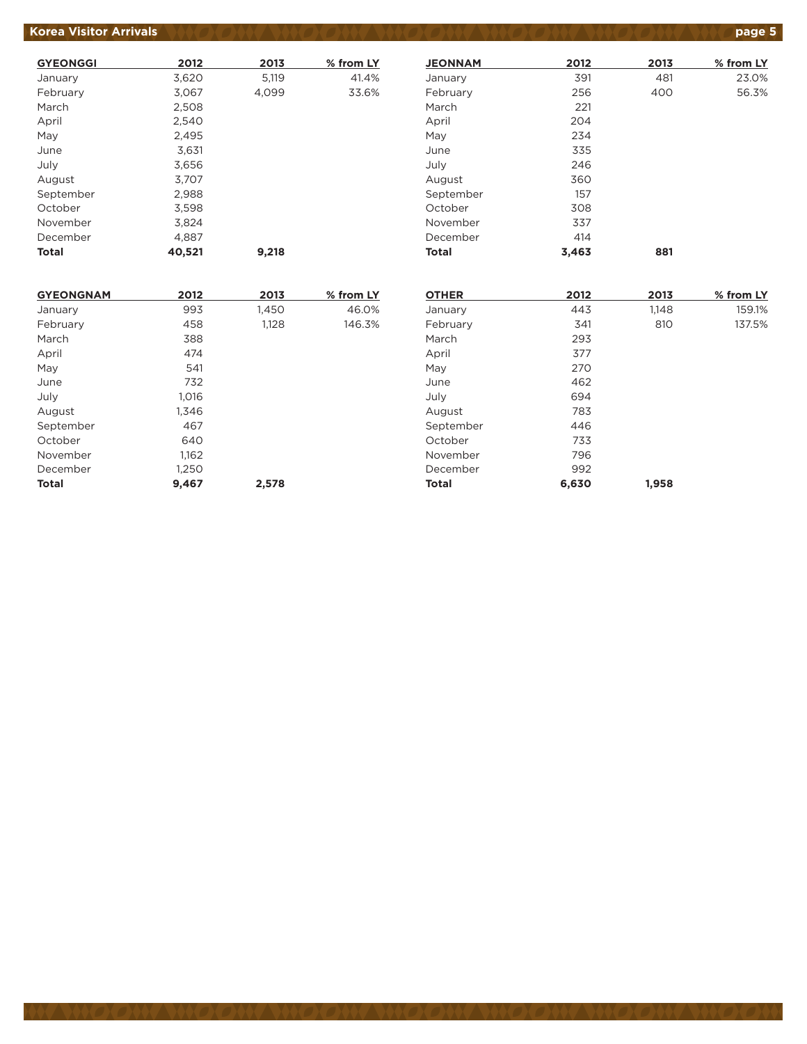### **Korea Visitor Arrivals product to the state of the Second ANGLONS (DANGLONS CONSTRUCT) age 5**

| <b>GYEONGGI</b> | 2012   | 2013  | % from LY |
|-----------------|--------|-------|-----------|
| January         | 3,620  | 5,119 | 41.4%     |
| February        | 3,067  | 4,099 | 33.6%     |
| March           | 2,508  |       |           |
| April           | 2,540  |       |           |
| May             | 2,495  |       |           |
| June            | 3.631  |       |           |
| July            | 3,656  |       |           |
| August          | 3,707  |       |           |
| September       | 2,988  |       |           |
| October         | 3,598  |       |           |
| November        | 3.824  |       |           |
| December        | 4,887  |       |           |
| Total           | 40,521 | 9,218 |           |

| <b>JEONNAM</b> | 2012  | 2013 | % from LY |
|----------------|-------|------|-----------|
| January        | 391   | 481  | 23.0%     |
| February       | 256   | 400  | 56.3%     |
| March          | 221   |      |           |
| April          | 204   |      |           |
| May            | 234   |      |           |
| June           | 335   |      |           |
| July           | 246   |      |           |
| August         | 360   |      |           |
| September      | 157   |      |           |
| October        | 308   |      |           |
| November       | 337   |      |           |
| December       | 414   |      |           |
| Total          | 3,463 | 881  |           |

| <b>GYEONGNAM</b> | 2012  | 2013  | % from LY |
|------------------|-------|-------|-----------|
| January          | 993   | 1,450 | 46.0%     |
| February         | 458   | 1,128 | 146.3%    |
| March            | 388   |       |           |
| April            | 474   |       |           |
| May              | 541   |       |           |
| June             | 732   |       |           |
| July             | 1,016 |       |           |
| August           | 1,346 |       |           |
| September        | 467   |       |           |
| October          | 640   |       |           |
| November         | 1,162 |       |           |
| December         | 1,250 |       |           |
| <b>Total</b>     | 9.467 | 2,578 |           |

| <b>OTHER</b> | 2012  | 2013  | % from LY |
|--------------|-------|-------|-----------|
| January      | 443   | 1,148 | 159.1%    |
| February     | 341   | 810   | 137.5%    |
| March        | 293   |       |           |
| April        | 377   |       |           |
| May          | 270   |       |           |
| June         | 462   |       |           |
| July         | 694   |       |           |
| August       | 783   |       |           |
| September    | 446   |       |           |
| October      | 733   |       |           |
| November     | 796   |       |           |
| December     | 992   |       |           |
| <b>Total</b> | 6,630 | 1,958 |           |
|              |       |       |           |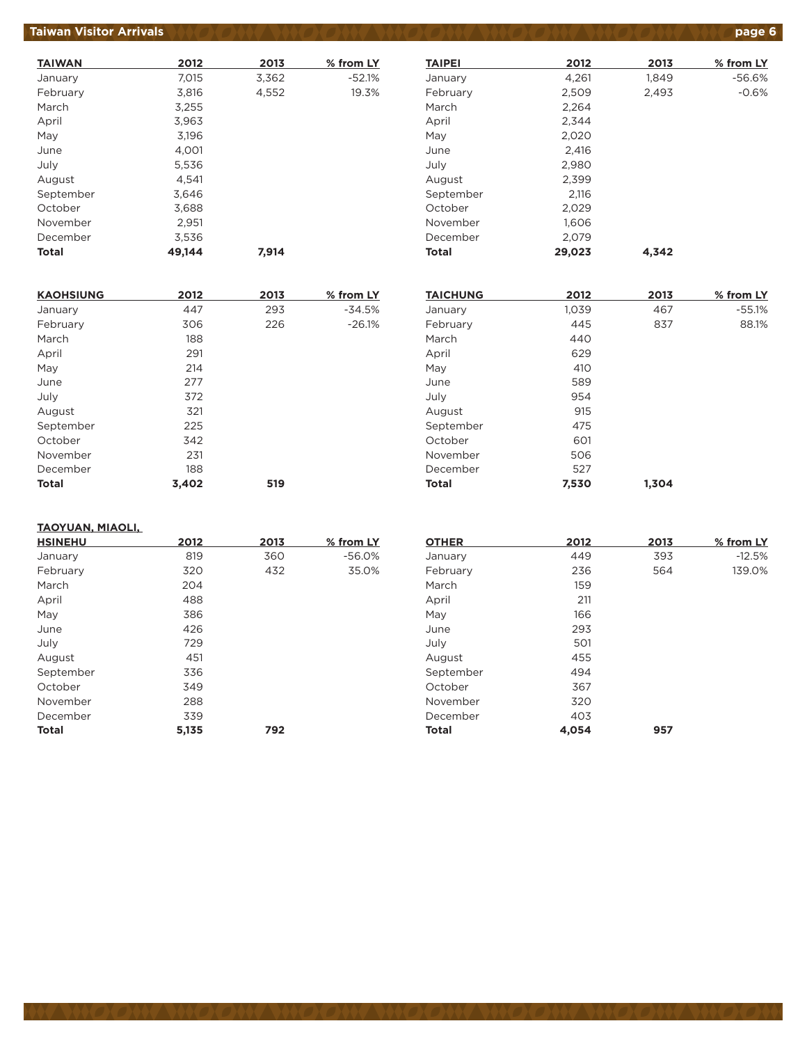#### **Taiwan Visitor Arrivals (A)O ONV WAOOON WAOOON ON OOON WAOOON WAOOON VANDED**

| <b>TAIWAN</b> | 2012   | 2013  | % from LY |
|---------------|--------|-------|-----------|
| January       | 7,015  | 3,362 | $-52.1%$  |
| February      | 3,816  | 4,552 | 19.3%     |
| March         | 3,255  |       |           |
| April         | 3,963  |       |           |
| May           | 3,196  |       |           |
| June          | 4,001  |       |           |
| July          | 5,536  |       |           |
| August        | 4,541  |       |           |
| September     | 3,646  |       |           |
| October       | 3,688  |       |           |
| November      | 2,951  |       |           |
| December      | 3,536  |       |           |
| <b>Total</b>  | 49.144 | 7.914 |           |

| <b>KAOHSIUNG</b> | 2012  | 2013 | % from LY |
|------------------|-------|------|-----------|
| January          | 447   | 293  | $-34.5%$  |
| February         | 306   | 226  | $-26.1%$  |
| March            | 188   |      |           |
| April            | 291   |      |           |
| May              | 214   |      |           |
| June             | 277   |      |           |
| July             | 372   |      |           |
| August           | 321   |      |           |
| September        | 225   |      |           |
| October          | 342   |      |           |
| November         | 231   |      |           |
| December         | 188   |      |           |
| <b>Total</b>     | 3.402 | 519  |           |

#### **TAIPEI 2012 2013 % from LY** January 1,261 1,849 -56.6% February 2,509 2,493 -0.6% March 2,264 April 2,344 May 2,020 June 2,416 July 2,980 August 2,399 September 2,116 October 2,029 November 1,606 December 2,079 **Total 29,023 4,342**

| <b>TAICHUNG</b> | 2012  | 2013  | % from LY |
|-----------------|-------|-------|-----------|
| January         | 1,039 | 467   | $-55.1%$  |
| February        | 445   | 837   | 88.1%     |
| March           | 440   |       |           |
| April           | 629   |       |           |
| May             | 410   |       |           |
| June            | 589   |       |           |
| July            | 954   |       |           |
| August          | 915   |       |           |
| September       | 475   |       |           |
| October         | 601   |       |           |
| November        | 506   |       |           |
| December        | 527   |       |           |
| <b>Total</b>    | 7,530 | 1.304 |           |

#### **TAOYUAN, MIAOLI,**

| <b>HSINEHU</b> | 2012  | 2013 | % from LY |
|----------------|-------|------|-----------|
| January        | 819   | 360  | $-56.0%$  |
| February       | 320   | 432  | 35.0%     |
| March          | 204   |      |           |
| April          | 488   |      |           |
| May            | 386   |      |           |
| June           | 426   |      |           |
| July           | 729   |      |           |
| August         | 451   |      |           |
| September      | 336   |      |           |
| October        | 349   |      |           |
| November       | 288   |      |           |
| December       | 339   |      |           |
| <b>Total</b>   | 5,135 | 792  |           |

| <b>OTHER</b> | 2012  | 2013 | % from LY |
|--------------|-------|------|-----------|
| January      | 449   | 393  | $-12.5%$  |
| February     | 236   | 564  | 139.0%    |
| March        | 159   |      |           |
| April        | 211   |      |           |
| May          | 166   |      |           |
| June         | 293   |      |           |
| July         | 501   |      |           |
| August       | 455   |      |           |
| September    | 494   |      |           |
| October      | 367   |      |           |
| November     | 320   |      |           |
| December     | 403   |      |           |
| <b>Total</b> | 4.054 | 957  |           |
|              |       |      |           |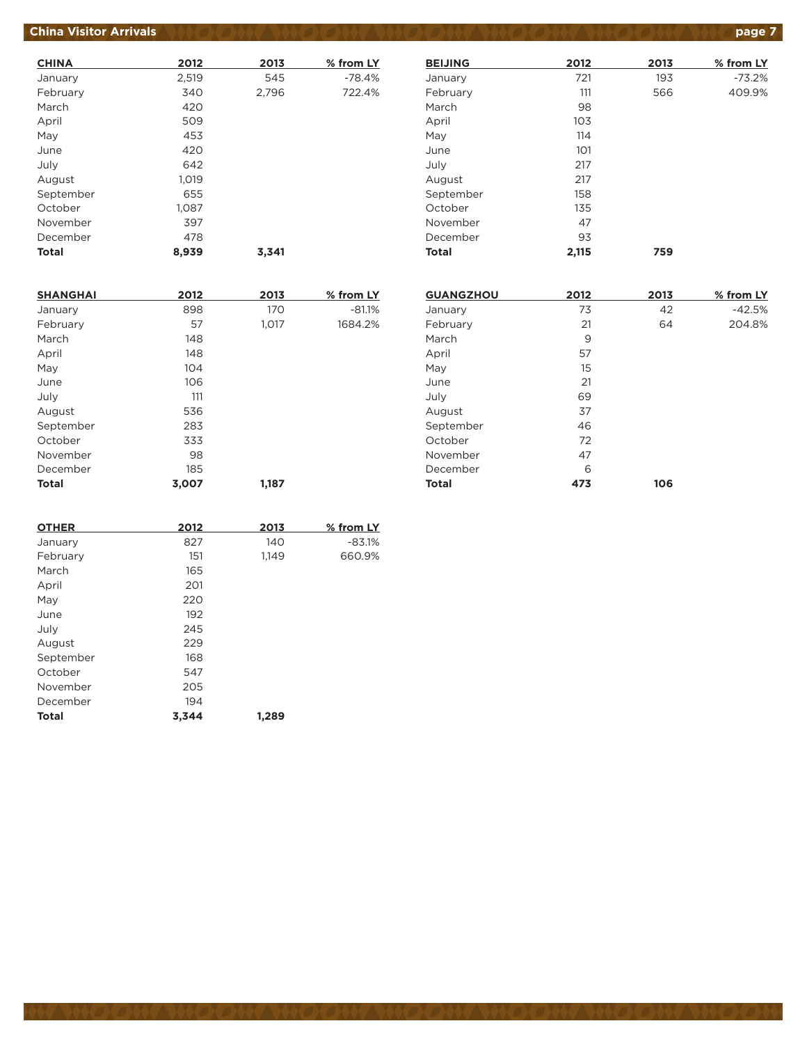# **China Visitor Arrivals** *AND ON YAND ON YAND ON YAND ON YAND* **ON YAND ON YAND Page 7**

| <b>CHINA</b> | 2012  | 2013  | % from LY |
|--------------|-------|-------|-----------|
| January      | 2,519 | 545   | $-78.4%$  |
| February     | 340   | 2,796 | 722.4%    |
| March        | 420   |       |           |
| April        | 509   |       |           |
| May          | 453   |       |           |
| June         | 420   |       |           |
| July         | 642   |       |           |
| August       | 1,019 |       |           |
| September    | 655   |       |           |
| October      | 1.087 |       |           |
| November     | 397   |       |           |
| December     | 478   |       |           |
| <b>Total</b> | 8,939 | 3.341 |           |

| <b>BEIJING</b> | 2012  | 2013 | % from LY |
|----------------|-------|------|-----------|
| January        | 721   | 193  | $-73.2%$  |
| February       | 111   | 566  | 409.9%    |
| March          | 98    |      |           |
| April          | 103   |      |           |
| May            | 114   |      |           |
| June           | 101   |      |           |
| July           | 217   |      |           |
| August         | 217   |      |           |
| September      | 158   |      |           |
| October        | 135   |      |           |
| November       | 47    |      |           |
| December       | 93    |      |           |
| <b>Total</b>   | 2,115 | 759  |           |

| <b>SHANGHAI</b> | 2012  | 2013  | % from LY |
|-----------------|-------|-------|-----------|
| January         | 898   | 170   | $-81.1%$  |
| February        | 57    | 1,017 | 1684.2%   |
| March           | 148   |       |           |
| April           | 148   |       |           |
| May             | 104   |       |           |
| June            | 106   |       |           |
| July            | 111   |       |           |
| August          | 536   |       |           |
| September       | 283   |       |           |
| October         | 333   |       |           |
| November        | 98    |       |           |
| December        | 185   |       |           |
| <b>Total</b>    | 3,007 | 1,187 |           |

| <b>GUANGZHOU</b> | 2012 | 2013 | % from LY |
|------------------|------|------|-----------|
| January          | 73   | 42   | $-42.5%$  |
| February         | 21   | 64   | 204.8%    |
| March            | 9    |      |           |
| April            | 57   |      |           |
| May              | 15   |      |           |
| June             | 21   |      |           |
| July             | 69   |      |           |
| August           | 37   |      |           |
| September        | 46   |      |           |
| October          | 72   |      |           |
| November         | 47   |      |           |
| December         | 6    |      |           |
| <b>Total</b>     | 473  | 106  |           |

| <b>OTHER</b> | 2012  | 2013  | % from LY |
|--------------|-------|-------|-----------|
| January      | 827   | 140   | $-83.1%$  |
| February     | 151   | 1,149 | 660.9%    |
| March        | 165   |       |           |
| April        | 201   |       |           |
| May          | 220   |       |           |
| June         | 192   |       |           |
| July         | 245   |       |           |
| August       | 229   |       |           |
| September    | 168   |       |           |
| October      | 547   |       |           |
| November     | 205   |       |           |
| December     | 194   |       |           |
| <b>Total</b> | 3,344 | 1,289 |           |
|              |       |       |           |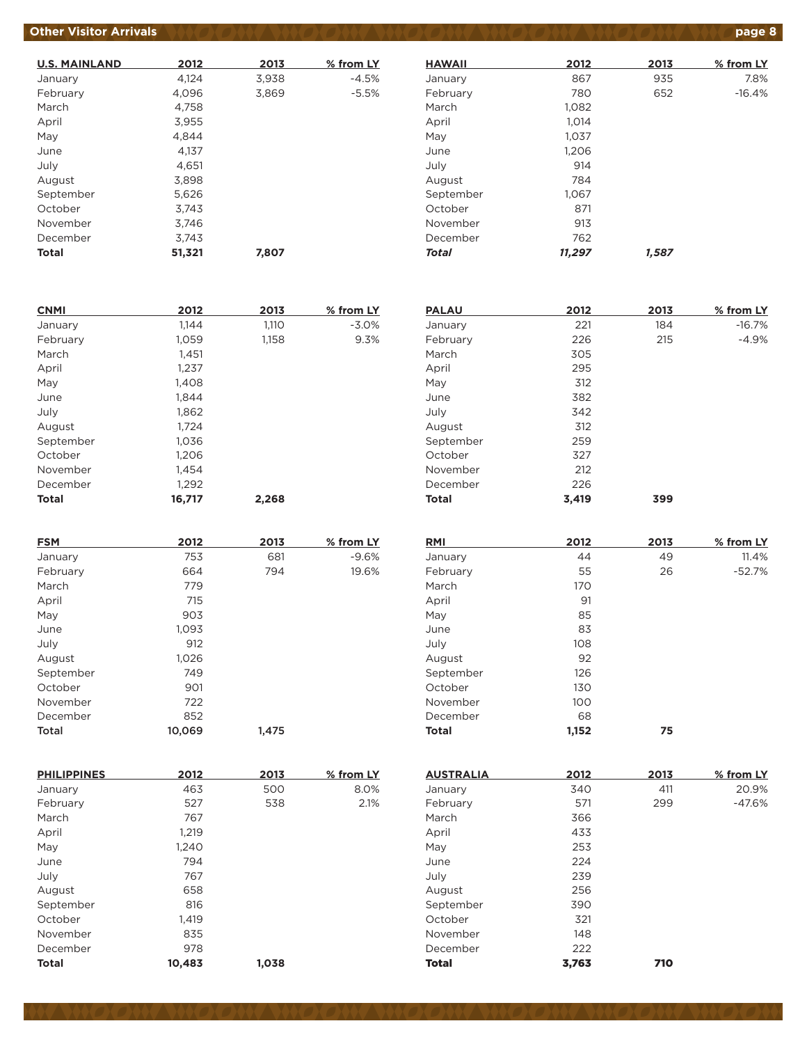### **Other Visitor Arrivals <b>AND ON AND ON AND ON AND ON AND ON AND ON A**

| <b>U.S. MAINLAND</b> | 2012   | 2013  | % from LY |
|----------------------|--------|-------|-----------|
| January              | 4,124  | 3,938 | $-4.5%$   |
| February             | 4,096  | 3,869 | $-5.5%$   |
| March                | 4,758  |       |           |
| April                | 3,955  |       |           |
| May                  | 4.844  |       |           |
| June                 | 4.137  |       |           |
| July                 | 4,651  |       |           |
| August               | 3,898  |       |           |
| September            | 5.626  |       |           |
| October              | 3.743  |       |           |
| November             | 3.746  |       |           |
| December             | 3.743  |       |           |
| <b>Total</b>         | 51,321 | 7,807 |           |

| <b>HAWAII</b> | 2012   | 2013  | % from LY |
|---------------|--------|-------|-----------|
| January       | 867    | 935   | 7.8%      |
| February      | 780    | 652   | $-16.4%$  |
| March         | 1.082  |       |           |
| April         | 1,014  |       |           |
| May           | 1,037  |       |           |
| June          | 1,206  |       |           |
| July          | 914    |       |           |
| August        | 784    |       |           |
| September     | 1,067  |       |           |
| October       | 871    |       |           |
| November      | 913    |       |           |
| December      | 762    |       |           |
| Total         | 11,297 | 1.587 |           |

**PALAU 2012 2013 % from LY** January 221 184 -16.7% February 226 215 -4.9%

March 305 April 295 May 312

July 108 August 92 September 126 October 130 November 100 December 68

**Total 1,152 75**

| <b>CNMI</b>  | 2012   | 2013  | % from LY |
|--------------|--------|-------|-----------|
| January      | 1.144  | 1,110 | $-3.0%$   |
| February     | 1,059  | 1,158 | 9.3%      |
| March        | 1,451  |       |           |
| April        | 1,237  |       |           |
| May          | 1,408  |       |           |
| June         | 1.844  |       |           |
| July         | 1,862  |       |           |
| August       | 1,724  |       |           |
| September    | 1,036  |       |           |
| October      | 1,206  |       |           |
| November     | 1.454  |       |           |
| December     | 1,292  |       |           |
| <b>Total</b> | 16,717 | 2,268 |           |

| <b>FSM</b> | 2012   | 2013  | % from LY |
|------------|--------|-------|-----------|
| January    | 753    | 681   | $-9.6%$   |
| February   | 664    | 794   | 19.6%     |
| March      | 779    |       |           |
| April      | 715    |       |           |
| May        | 903    |       |           |
| June       | 1,093  |       |           |
| July       | 912    |       |           |
| August     | 1,026  |       |           |
| September  | 749    |       |           |
| October    | 901    |       |           |
| November   | 722    |       |           |
| December   | 852    |       |           |
| Total      | 10,069 | 1,475 |           |

| June         | 382   |      |           |
|--------------|-------|------|-----------|
| July         | 342   |      |           |
| August       | 312   |      |           |
| September    | 259   |      |           |
| October      | 327   |      |           |
| November     | 212   |      |           |
| December     | 226   |      |           |
| <b>Total</b> | 3,419 | 399  |           |
|              |       |      |           |
|              |       |      |           |
|              |       |      |           |
| RMI          | 2012  | 2013 | % from LY |
| January      | 44    | 49   | 11.4%     |
| February     | 55    | 26   | $-52.7%$  |
| March        | 170   |      |           |
| April        | 91    |      |           |
| May          | 85    |      |           |

| <b>PHILIPPINES</b> | 2012   | 2013  | % from LY |
|--------------------|--------|-------|-----------|
| January            | 463    | 500   | 8.0%      |
| February           | 527    | 538   | 2.1%      |
| March              | 767    |       |           |
| April              | 1,219  |       |           |
| May                | 1,240  |       |           |
| June               | 794    |       |           |
| July               | 767    |       |           |
| August             | 658    |       |           |
| September          | 816    |       |           |
| October            | 1,419  |       |           |
| November           | 835    |       |           |
| December           | 978    |       |           |
| <b>Total</b>       | 10,483 | 1.038 |           |

| <b>AUSTRALIA</b> | 2012  | 2013 | % from LY |
|------------------|-------|------|-----------|
| January          | 340   | 411  | 20.9%     |
| February         | 571   | 299  | $-47.6%$  |
| March            | 366   |      |           |
| April            | 433   |      |           |
| May              | 253   |      |           |
| June             | 224   |      |           |
| July             | 239   |      |           |
| August           | 256   |      |           |
| September        | 390   |      |           |
| October          | 321   |      |           |
| November         | 148   |      |           |
| December         | 222   |      |           |
| <b>Total</b>     | 3,763 | 710  |           |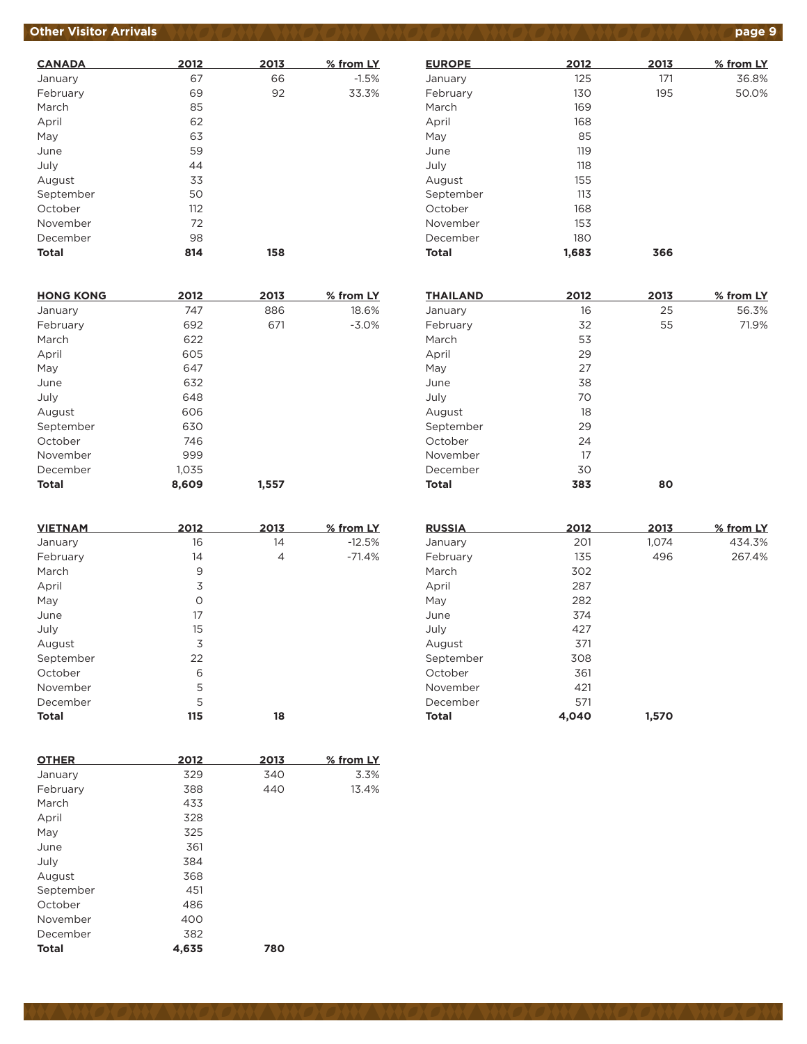### **Other Visitor Arrivals produce to the state of the state of the state of the state of the state of the state of the state of the state of the state of the state of the state of the state of the state of the state of the**

| <b>CANADA</b> | 2012 | 2013 | % from LY |
|---------------|------|------|-----------|
| January       | 67   | 66   | $-1.5%$   |
| February      | 69   | 92   | 33.3%     |
| March         | 85   |      |           |
| April         | 62   |      |           |
| May           | 63   |      |           |
| June          | 59   |      |           |
| July          | 44   |      |           |
| August        | 33   |      |           |
| September     | 50   |      |           |
| October       | 112  |      |           |
| November      | 72   |      |           |
| December      | 98   |      |           |
| <b>Total</b>  | 814  | 158  |           |

| <b>HONG KONG</b> | 2012  | 2013  | % from LY |
|------------------|-------|-------|-----------|
| January          | 747   | 886   | 18.6%     |
| February         | 692   | 671   | $-3.0%$   |
| March            | 622   |       |           |
| April            | 605   |       |           |
| May              | 647   |       |           |
| June             | 632   |       |           |
| July             | 648   |       |           |
| August           | 606   |       |           |
| September        | 630   |       |           |
| October          | 746   |       |           |
| November         | 999   |       |           |
| December         | 1,035 |       |           |
| <b>Total</b>     | 8.609 | 1.557 |           |

| <b>VIETNAM</b> | 2012 | 2013 | % from LY |
|----------------|------|------|-----------|
| January        | 16   | 14   | $-12.5%$  |
| February       | 14   | 4    | $-71.4%$  |
| March          | 9    |      |           |
| April          | 3    |      |           |
| May            | O    |      |           |
| June           | 17   |      |           |
| July           | 15   |      |           |
| August         | 3    |      |           |
| September      | 22   |      |           |
| October        | 6    |      |           |
| November       | 5    |      |           |
| December       | 5    |      |           |
| <b>Total</b>   | 115  | 18   |           |

| <b>OTHER</b> | 2012  | 2013 | % from LY |
|--------------|-------|------|-----------|
| January      | 329   | 340  | 3.3%      |
| February     | 388   | 440  | 13.4%     |
| March        | 433   |      |           |
| April        | 328   |      |           |
| May          | 325   |      |           |
| June         | 361   |      |           |
| July         | 384   |      |           |
| August       | 368   |      |           |
| September    | 451   |      |           |
| October      | 486   |      |           |
| November     | 400   |      |           |
| December     | 382   |      |           |
| <b>Total</b> | 4.635 | 780  |           |

| <b>EUROPE</b> | 2012  | 2013 | % from LY |
|---------------|-------|------|-----------|
| January       | 125   | 171  | 36.8%     |
| February      | 130   | 195  | 50.0%     |
| March         | 169   |      |           |
| April         | 168   |      |           |
| May           | 85    |      |           |
| June          | 119   |      |           |
| July          | 118   |      |           |
| August        | 155   |      |           |
| September     | 113   |      |           |
| October       | 168   |      |           |
| November      | 153   |      |           |
| December      | 180   |      |           |
| Total         | 1,683 | 366  |           |
|               |       |      |           |

| <b>THAILAND</b> | 2012 | 2013 | % from LY |
|-----------------|------|------|-----------|
| January         | 16   | 25   | 56.3%     |
| February        | 32   | 55   | 71.9%     |
| March           | 53   |      |           |
| April           | 29   |      |           |
| May             | 27   |      |           |
| June            | 38   |      |           |
| July            | 70   |      |           |
| August          | 18   |      |           |
| September       | 29   |      |           |
| October         | 24   |      |           |
| November        | 17   |      |           |
| December        | 30   |      |           |
| <b>Total</b>    | 383  | 80   |           |

| <b>RUSSIA</b> | 2012  | 2013  | % from LY |
|---------------|-------|-------|-----------|
| January       | 201   | 1,074 | 434.3%    |
| February      | 135   | 496   | 267.4%    |
| March         | 302   |       |           |
| April         | 287   |       |           |
| May           | 282   |       |           |
| June          | 374   |       |           |
| July          | 427   |       |           |
| August        | 371   |       |           |
| September     | 308   |       |           |
| October       | 361   |       |           |
| November      | 421   |       |           |
| December      | 571   |       |           |
| <b>Total</b>  | 4,040 | 1,570 |           |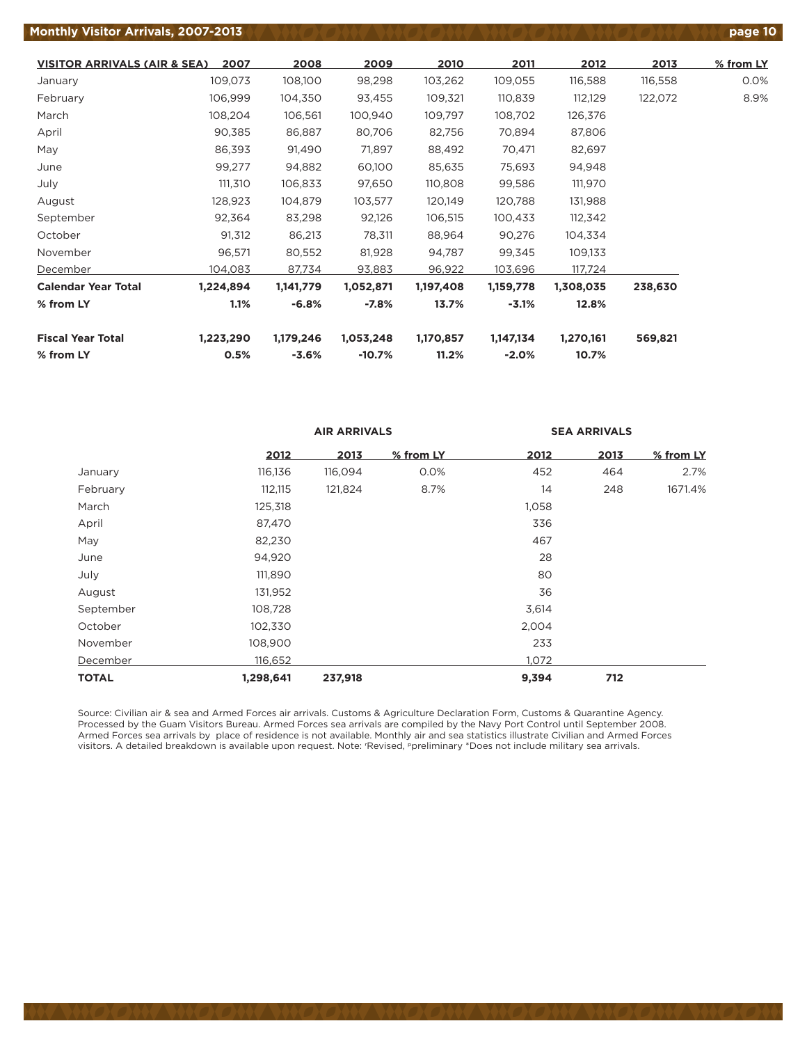#### **Monthly Visitor Arrivals, 2007-2013 page 10**

| <b>VISITOR ARRIVALS (AIR &amp; SEA)</b> | 2007      | 2008      | 2009      | 2010      | 2011      | 2012      | 2013    | % from LY |
|-----------------------------------------|-----------|-----------|-----------|-----------|-----------|-----------|---------|-----------|
| January                                 | 109,073   | 108,100   | 98,298    | 103,262   | 109,055   | 116,588   | 116,558 | 0.0%      |
| February                                | 106,999   | 104,350   | 93,455    | 109,321   | 110,839   | 112,129   | 122,072 | 8.9%      |
| March                                   | 108,204   | 106,561   | 100,940   | 109,797   | 108,702   | 126,376   |         |           |
| April                                   | 90,385    | 86,887    | 80,706    | 82,756    | 70,894    | 87,806    |         |           |
| May                                     | 86,393    | 91,490    | 71,897    | 88,492    | 70,471    | 82,697    |         |           |
| June                                    | 99,277    | 94,882    | 60,100    | 85,635    | 75,693    | 94,948    |         |           |
| July                                    | 111,310   | 106,833   | 97,650    | 110,808   | 99,586    | 111,970   |         |           |
| August                                  | 128,923   | 104,879   | 103,577   | 120,149   | 120,788   | 131,988   |         |           |
| September                               | 92,364    | 83,298    | 92,126    | 106,515   | 100,433   | 112,342   |         |           |
| October                                 | 91,312    | 86,213    | 78,311    | 88,964    | 90,276    | 104,334   |         |           |
| November                                | 96,571    | 80,552    | 81,928    | 94,787    | 99,345    | 109,133   |         |           |
| December                                | 104,083   | 87,734    | 93,883    | 96,922    | 103,696   | 117,724   |         |           |
| <b>Calendar Year Total</b>              | 1,224,894 | 1,141,779 | 1,052,871 | 1,197,408 | 1,159,778 | 1,308,035 | 238,630 |           |
| % from LY                               | 1.1%      | $-6.8%$   | $-7.8%$   | 13.7%     | $-3.1%$   | 12.8%     |         |           |
| <b>Fiscal Year Total</b>                | 1,223,290 | 1,179,246 | 1,053,248 | 1,170,857 | 1,147,134 | 1,270,161 | 569,821 |           |
| % from LY                               | 0.5%      | $-3.6%$   | $-10.7%$  | 11.2%     | $-2.0%$   | 10.7%     |         |           |

|              |           | <b>AIR ARRIVALS</b> |           |       | <b>SEA ARRIVALS</b> |           |
|--------------|-----------|---------------------|-----------|-------|---------------------|-----------|
|              | 2012      | 2013                | % from LY | 2012  | 2013                | % from LY |
| January      | 116,136   | 116,094             | 0.0%      | 452   | 464                 | 2.7%      |
| February     | 112,115   | 121,824             | 8.7%      | 14    | 248                 | 1671.4%   |
| March        | 125,318   |                     |           | 1,058 |                     |           |
| April        | 87,470    |                     |           | 336   |                     |           |
| May          | 82,230    |                     |           | 467   |                     |           |
| June         | 94,920    |                     |           | 28    |                     |           |
| July         | 111,890   |                     |           | 80    |                     |           |
| August       | 131,952   |                     |           | 36    |                     |           |
| September    | 108,728   |                     |           | 3,614 |                     |           |
| October      | 102,330   |                     |           | 2,004 |                     |           |
| November     | 108,900   |                     |           | 233   |                     |           |
| December     | 116,652   |                     |           | 1,072 |                     |           |
| <b>TOTAL</b> | 1,298,641 | 237,918             |           | 9,394 | 712                 |           |

Source: Civilian air & sea and Armed Forces air arrivals. Customs & Agriculture Declaration Form, Customs & Quarantine Agency. Processed by the Guam Visitors Bureau. Armed Forces sea arrivals are compiled by the Navy Port Control until September 2008. Armed Forces sea arrivals by place of residence is not available. Monthly air and sea statistics illustrate Civilian and Armed Forces visitors. A detailed breakdown is available upon request. Note: r Revised, ppreliminary \*Does not include military sea arrivals.